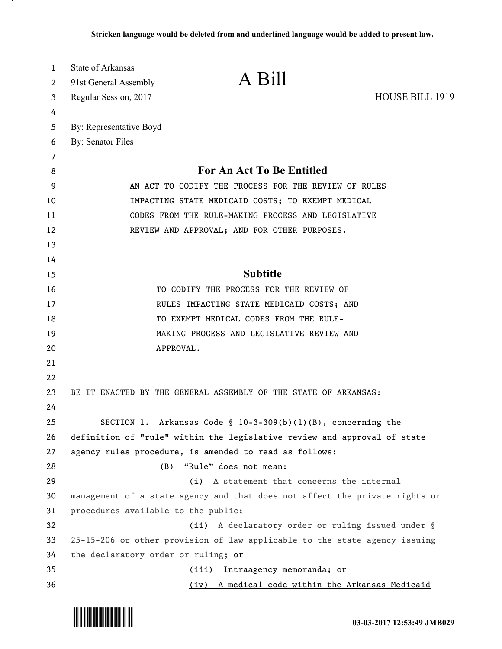| 1  | State of Arkansas                   |                                                                             |                 |
|----|-------------------------------------|-----------------------------------------------------------------------------|-----------------|
| 2  | 91st General Assembly               | A Bill                                                                      |                 |
| 3  | Regular Session, 2017               |                                                                             | HOUSE BILL 1919 |
| 4  |                                     |                                                                             |                 |
| 5  | By: Representative Boyd             |                                                                             |                 |
| 6  | By: Senator Files                   |                                                                             |                 |
| 7  |                                     |                                                                             |                 |
| 8  |                                     | For An Act To Be Entitled                                                   |                 |
| 9  |                                     | AN ACT TO CODIFY THE PROCESS FOR THE REVIEW OF RULES                        |                 |
| 10 |                                     | IMPACTING STATE MEDICAID COSTS; TO EXEMPT MEDICAL                           |                 |
| 11 |                                     | CODES FROM THE RULE-MAKING PROCESS AND LEGISLATIVE                          |                 |
| 12 |                                     | REVIEW AND APPROVAL; AND FOR OTHER PURPOSES.                                |                 |
| 13 |                                     |                                                                             |                 |
| 14 |                                     |                                                                             |                 |
| 15 |                                     | <b>Subtitle</b>                                                             |                 |
| 16 |                                     | TO CODIFY THE PROCESS FOR THE REVIEW OF                                     |                 |
| 17 |                                     | RULES IMPACTING STATE MEDICAID COSTS; AND                                   |                 |
| 18 |                                     | TO EXEMPT MEDICAL CODES FROM THE RULE-                                      |                 |
| 19 |                                     | MAKING PROCESS AND LEGISLATIVE REVIEW AND                                   |                 |
| 20 |                                     | APPROVAL.                                                                   |                 |
| 21 |                                     |                                                                             |                 |
| 22 |                                     |                                                                             |                 |
| 23 |                                     | BE IT ENACTED BY THE GENERAL ASSEMBLY OF THE STATE OF ARKANSAS:             |                 |
| 24 |                                     |                                                                             |                 |
| 25 |                                     | SECTION 1. Arkansas Code § 10-3-309(b)(1)(B), concerning the                |                 |
| 26 |                                     | definition of "rule" within the legislative review and approval of state    |                 |
| 27 |                                     | agency rules procedure, is amended to read as follows:                      |                 |
| 28 | (B)                                 | "Rule" does not mean:                                                       |                 |
| 29 |                                     | (i) A statement that concerns the internal                                  |                 |
| 30 |                                     | management of a state agency and that does not affect the private rights or |                 |
| 31 | procedures available to the public; |                                                                             |                 |
| 32 |                                     | (ii) A declaratory order or ruling issued under §                           |                 |
| 33 |                                     | 25-15-206 or other provision of law applicable to the state agency issuing  |                 |
| 34 | the declaratory order or ruling; or |                                                                             |                 |
| 35 |                                     | Intraagency memoranda; or<br>(iii)                                          |                 |
| 36 |                                     | (iv) A medical code within the Arkansas Medicaid                            |                 |



.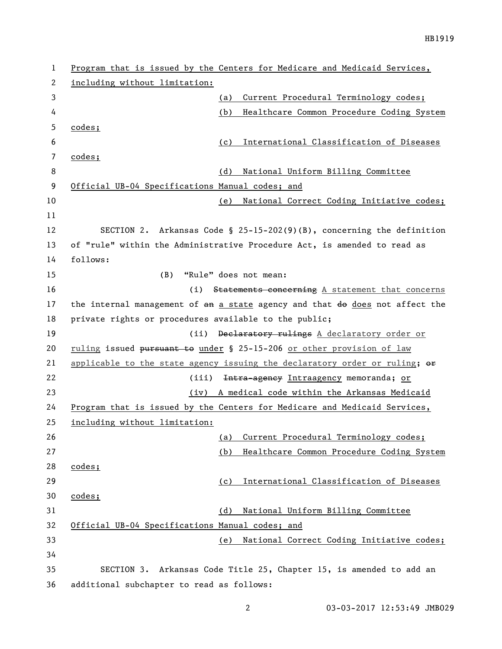| 1  | Program that is issued by the Centers for Medicare and Medicaid Services,    |
|----|------------------------------------------------------------------------------|
| 2  | including without limitation:                                                |
| 3  | Current Procedural Terminology codes;<br>(a)                                 |
| 4  | Healthcare Common Procedure Coding System<br>(b)                             |
| 5  | codes;                                                                       |
| 6  | International Classification of Diseases<br>(c)                              |
| 7  | codes;                                                                       |
| 8  | National Uniform Billing Committee<br>(d)                                    |
| 9  | Official UB-04 Specifications Manual codes; and                              |
| 10 | National Correct Coding Initiative codes;<br>(e)                             |
| 11 |                                                                              |
| 12 | SECTION 2. Arkansas Code § 25-15-202(9)(B), concerning the definition        |
| 13 | of "rule" within the Administrative Procedure Act, is amended to read as     |
| 14 | follows:                                                                     |
| 15 | "Rule" does not mean:<br>(B)                                                 |
| 16 | (i) Statements concerning $A$ statement that concerns                        |
| 17 | the internal management of an a state agency and that do does not affect the |
| 18 | private rights or procedures available to the public;                        |
| 19 | (ii) Declaratory rulings A declaratory order or                              |
| 20 | ruling issued pursuant to under § 25-15-206 or other provision of law        |
| 21 | applicable to the state agency issuing the declaratory order or ruling; or   |
| 22 | Intra-agency Intraagency memoranda; or<br>(iii)                              |
| 23 | (iv) A medical code within the Arkansas Medicaid                             |
| 24 | Program that is issued by the Centers for Medicare and Medicaid Services,    |
| 25 | <u>including without limitation:</u>                                         |
| 26 | Current Procedural Terminology codes;<br>(a)                                 |
| 27 | Healthcare Common Procedure Coding System<br>(b)                             |
| 28 | codes;                                                                       |
| 29 | International Classification of Diseases<br>(c)                              |
| 30 | codes;                                                                       |
| 31 | National Uniform Billing Committee<br>(d)                                    |
| 32 | Official UB-04 Specifications Manual codes; and                              |
| 33 | National Correct Coding Initiative codes;<br>(e)                             |
| 34 |                                                                              |
| 35 | SECTION 3. Arkansas Code Title 25, Chapter 15, is amended to add an          |
| 36 | additional subchapter to read as follows:                                    |

03-03-2017 12:53:49 JMB029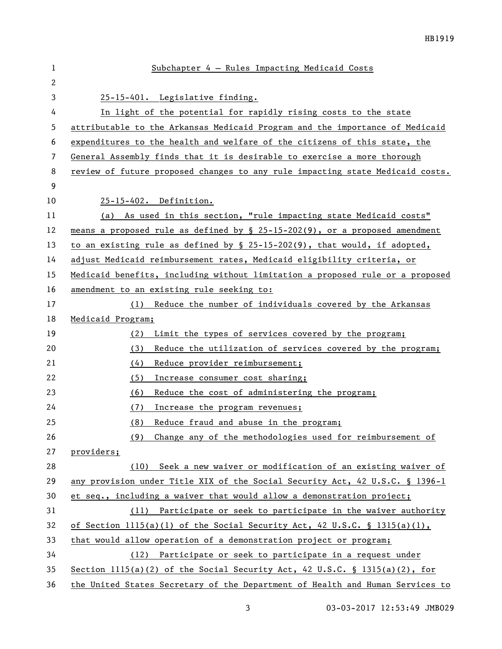| $\mathbf 1$ | Subchapter 4 - Rules Impacting Medicaid Costs                                    |
|-------------|----------------------------------------------------------------------------------|
| 2           |                                                                                  |
| 3           | 25-15-401. Legislative finding.                                                  |
| 4           | In light of the potential for rapidly rising costs to the state                  |
| 5           | attributable to the Arkansas Medicaid Program and the importance of Medicaid     |
| 6           | expenditures to the health and welfare of the citizens of this state, the        |
| 7           | General Assembly finds that it is desirable to exercise a more thorough          |
| 8           | review of future proposed changes to any rule impacting state Medicaid costs.    |
| 9           |                                                                                  |
| 10          | 25-15-402. Definition.                                                           |
| 11          | (a) As used in this section, "rule impacting state Medicaid costs"               |
| 12          | means a proposed rule as defined by $\S$ 25-15-202(9), or a proposed amendment   |
| 13          | to an existing rule as defined by $\S$ 25-15-202(9), that would, if adopted,     |
| 14          | adjust Medicaid reimbursement rates, Medicaid eligibility criteria, or           |
| 15          | Medicaid benefits, including without limitation a proposed rule or a proposed    |
| 16          | amendment to an existing rule seeking to:                                        |
| 17          | (1) Reduce the number of individuals covered by the Arkansas                     |
| 18          | Medicaid Program;                                                                |
| 19          | Limit the types of services covered by the program;<br>(2)                       |
| 20          | (3)<br>Reduce the utilization of services covered by the program;                |
| 21          | (4)<br>Reduce provider reimbursement;                                            |
| 22          | (5)<br>Increase consumer cost sharing;                                           |
| 23          | Reduce the cost of administering the program;<br>(6)                             |
| 24          | (7)<br>Increase the program revenues;                                            |
| 25          | Reduce fraud and abuse in the program;<br>(8)                                    |
| 26          | Change any of the methodologies used for reimbursement of<br>(9)                 |
| 27          | providers;                                                                       |
| 28          | (10) Seek a new waiver or modification of an existing waiver of                  |
| 29          | any provision under Title XIX of the Social Security Act, 42 U.S.C. § 1396-1     |
| 30          | et seq., including a waiver that would allow a demonstration project;            |
| 31          | (11) Participate or seek to participate in the waiver authority                  |
| 32          | of Section 1115(a) $(1)$ of the Social Security Act, 42 U.S.C. § 1315(a) $(1)$ , |
| 33          | that would allow operation of a demonstration project or program;                |
| 34          | (12) Participate or seek to participate in a request under                       |
| 35          | Section $1115(a)(2)$ of the Social Security Act, 42 U.S.C. § 1315(a)(2), for     |
| 36          | the United States Secretary of the Department of Health and Human Services to    |

03-03-2017 12:53:49 JMB029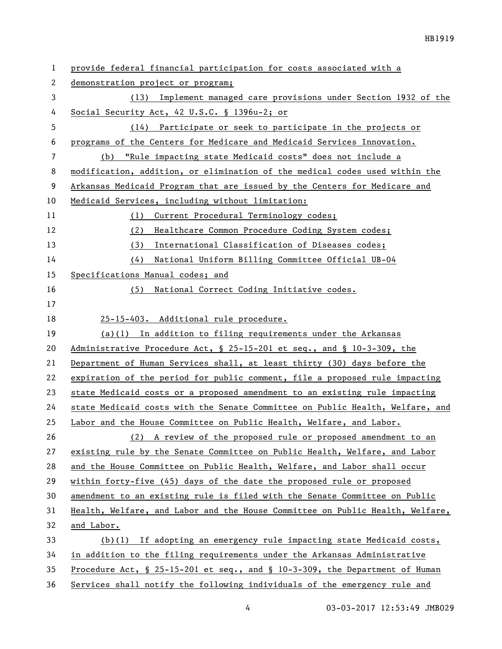| 1  | provide federal financial participation for costs associated with a           |
|----|-------------------------------------------------------------------------------|
| 2  | demonstration project or program;                                             |
| 3  | (13) Implement managed care provisions under Section 1932 of the              |
| 4  | Social Security Act, 42 U.S.C. § 1396u-2; or                                  |
| 5  | (14) Participate or seek to participate in the projects or                    |
| 6  | programs of the Centers for Medicare and Medicaid Services Innovation.        |
| 7  | "Rule impacting state Medicaid costs" does not include a<br>(b)               |
| 8  | modification, addition, or elimination of the medical codes used within the   |
| 9  | Arkansas Medicaid Program that are issued by the Centers for Medicare and     |
| 10 | Medicaid Services, including without limitation:                              |
| 11 | Current Procedural Terminology codes;<br>(1)                                  |
| 12 | Healthcare Common Procedure Coding System codes;<br>(2)                       |
| 13 | International Classification of Diseases codes;<br>(3)                        |
| 14 | (4)<br>National Uniform Billing Committee Official UB-04                      |
| 15 | Specifications Manual codes; and                                              |
| 16 | (5) National Correct Coding Initiative codes.                                 |
| 17 |                                                                               |
| 18 | 25-15-403. Additional rule procedure.                                         |
| 19 | $(a)(1)$ In addition to filing requirements under the Arkansas                |
| 20 | Administrative Procedure Act, § 25-15-201 et seq., and § 10-3-309, the        |
| 21 | Department of Human Services shall, at least thirty (30) days before the      |
| 22 | expiration of the period for public comment, file a proposed rule impacting   |
| 23 | state Medicaid costs or a proposed amendment to an existing rule impacting    |
| 24 | state Medicaid costs with the Senate Committee on Public Health, Welfare, and |
| 25 | Labor and the House Committee on Public Health, Welfare, and Labor.           |
| 26 | (2) A review of the proposed rule or proposed amendment to an                 |
| 27 | existing rule by the Senate Committee on Public Health, Welfare, and Labor    |
| 28 | and the House Committee on Public Health, Welfare, and Labor shall occur      |
| 29 | within forty-five (45) days of the date the proposed rule or proposed         |
| 30 | amendment to an existing rule is filed with the Senate Committee on Public    |
| 31 | Health, Welfare, and Labor and the House Committee on Public Health, Welfare, |
| 32 | and Labor.                                                                    |
| 33 | $(b)(1)$ If adopting an emergency rule impacting state Medicaid costs,        |
| 34 | in addition to the filing requirements under the Arkansas Administrative      |
| 35 | Procedure Act, § 25-15-201 et seq., and § 10-3-309, the Department of Human   |
| 36 | Services shall notify the following individuals of the emergency rule and     |

4 03-03-2017 12:53:49 JMB029